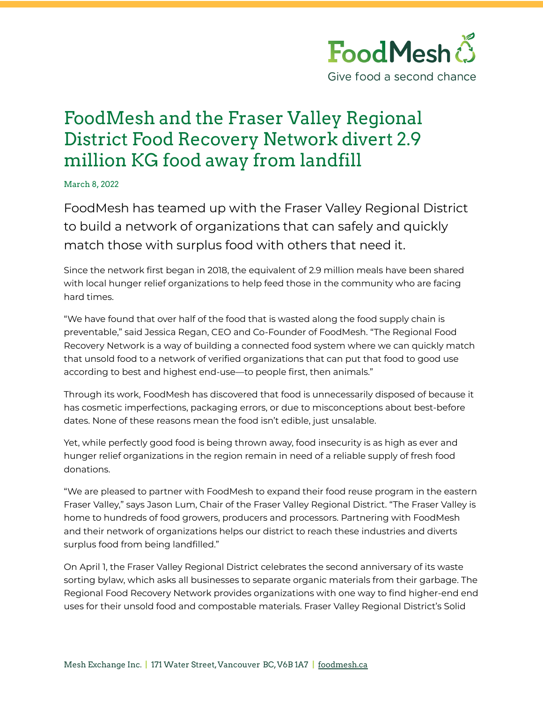

## FoodMesh and the Fraser Valley Regional District Food Recovery Network divert 2.9 million KG food away from landfill

March 8, 2022

FoodMesh has teamed up with the Fraser Valley Regional District to build a network of organizations that can safely and quickly match those with surplus food with others that need it.

Since the network first began in 2018, the equivalent of 2.9 million meals have been shared with local hunger relief organizations to help feed those in the community who are facing hard times.

"We have found that over half of the food that is wasted along the food supply chain is preventable," said Jessica Regan, CEO and Co-Founder of FoodMesh. "The Regional Food Recovery Network is a way of building a connected food system where we can quickly match that unsold food to a network of verified organizations that can put that food to good use according to best and highest end-use—to people first, then animals."

Through its work, FoodMesh has discovered that food is unnecessarily disposed of because it has cosmetic imperfections, packaging errors, or due to misconceptions about best-before dates. None of these reasons mean the food isn't edible, just unsalable.

Yet, while perfectly good food is being thrown away, food insecurity is as high as ever and hunger relief organizations in the region remain in need of a reliable supply of fresh food donations.

"We are pleased to partner with FoodMesh to expand their food reuse program in the eastern Fraser Valley," says Jason Lum, Chair of the Fraser Valley Regional District. "The Fraser Valley is home to hundreds of food growers, producers and processors. Partnering with FoodMesh and their network of organizations helps our district to reach these industries and diverts surplus food from being landfilled."

On April 1, the Fraser Valley Regional District celebrates the second anniversary of its waste sorting bylaw, which asks all businesses to separate organic materials from their garbage. The Regional Food Recovery Network provides organizations with one way to find higher-end end uses for their unsold food and compostable materials. Fraser Valley Regional District's Solid